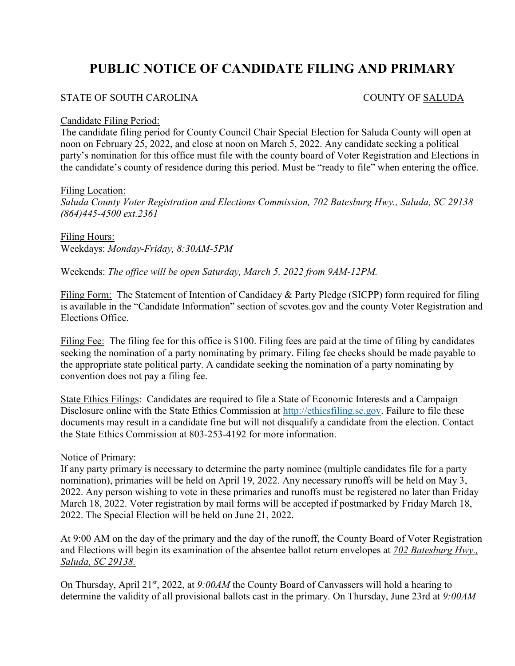# **PUBLIC NOTICE OF CANDIDATE FILING AND PRIMARY**

# STATE OF SOUTH CAROLINA COUNTY OF SALUDA

### Candidate Filing Period:

The candidate filing period for County Council Chair Special Election for Saluda County will open at noon on February 25, 2022, and close at noon on March 5, 2022. Any candidate seeking a political party's nomination for this office must file with the county board of Voter Registration and Elections in the candidate's county of residence during this period. Must be "ready to file" when entering the office.

#### Filing Location:

*Saluda County Voter Registration and Elections Commission, 702 Batesburg Hwy., Saluda, SC 29138 (864)445-4500 ext.2361*

Filing Hours: Weekdays: *Monday-Friday, 8:30AM-5PM*

Weekends: *The office will be open Saturday, March 5, 2022 from 9AM-12PM.*

Filing Form: The Statement of Intention of Candidacy & Party Pledge (SICPP) form required for filing is available in the "Candidate Information" section of scvotes.gov and the county Voter Registration and Elections Office.

Filing Fee: The filing fee for this office is \$100. Filing fees are paid at the time of filing by candidates seeking the nomination of a party nominating by primary. Filing fee checks should be made payable to the appropriate state political party. A candidate seeking the nomination of a party nominating by convention does not pay a filing fee.

State Ethics Filings: Candidates are required to file a State of Economic Interests and a Campaign Disclosure online with the State Ethics Commission at [http://ethicsfiling.sc.gov.](http://ethicsfiling.sc.gov/) Failure to file these documents may result in a candidate fine but will not disqualify a candidate from the election. Contact the State Ethics Commission at 803-253-4192 for more information.

## Notice of Primary:

If any party primary is necessary to determine the party nominee (multiple candidates file for a party nomination), primaries will be held on April 19, 2022. Any necessary runoffs will be held on May 3, 2022. Any person wishing to vote in these primaries and runoffs must be registered no later than Friday March 18, 2022. Voter registration by mail forms will be accepted if postmarked by Friday March 18, 2022. The Special Election will be held on June 21, 2022.

At 9:00 AM on the day of the primary and the day of the runoff, the County Board of Voter Registration and Elections will begin its examination of the absentee ballot return envelopes at *702 Batesburg Hwy., Saluda, SC 29138.*

On Thursday, April 21st, 2022, at *9:00AM* the County Board of Canvassers will hold a hearing to determine the validity of all provisional ballots cast in the primary. On Thursday, June 23rd at *9:00AM*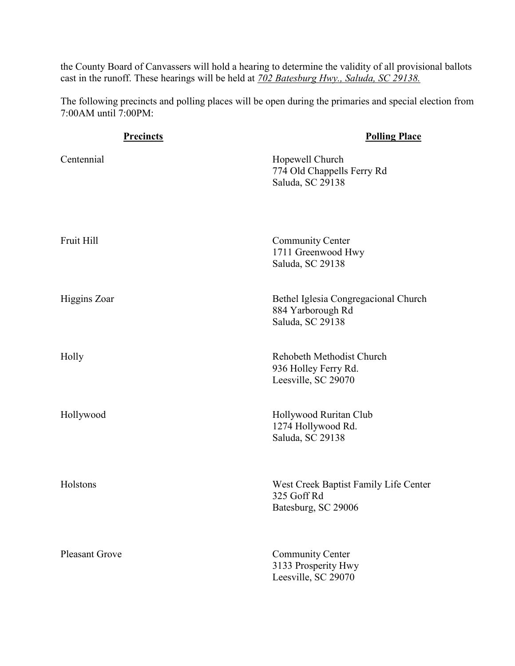the County Board of Canvassers will hold a hearing to determine the validity of all provisional ballots cast in the runoff. These hearings will be held at *702 Batesburg Hwy., Saluda, SC 29138.*

The following precincts and polling places will be open during the primaries and special election from 7:00AM until 7:00PM:

| <b>Precincts</b>      | <b>Polling Place</b>                                                          |
|-----------------------|-------------------------------------------------------------------------------|
| Centennial            | Hopewell Church<br>774 Old Chappells Ferry Rd<br>Saluda, SC 29138             |
| Fruit Hill            | <b>Community Center</b><br>1711 Greenwood Hwy<br>Saluda, SC 29138             |
| <b>Higgins Zoar</b>   | Bethel Iglesia Congregacional Church<br>884 Yarborough Rd<br>Saluda, SC 29138 |
| Holly                 | Rehobeth Methodist Church<br>936 Holley Ferry Rd.<br>Leesville, SC 29070      |
| Hollywood             | Hollywood Ruritan Club<br>1274 Hollywood Rd.<br>Saluda, SC 29138              |
| Holstons              | West Creek Baptist Family Life Center<br>325 Goff Rd<br>Batesburg, SC 29006   |
| <b>Pleasant Grove</b> | <b>Community Center</b><br>3133 Prosperity Hwy<br>Leesville, SC 29070         |